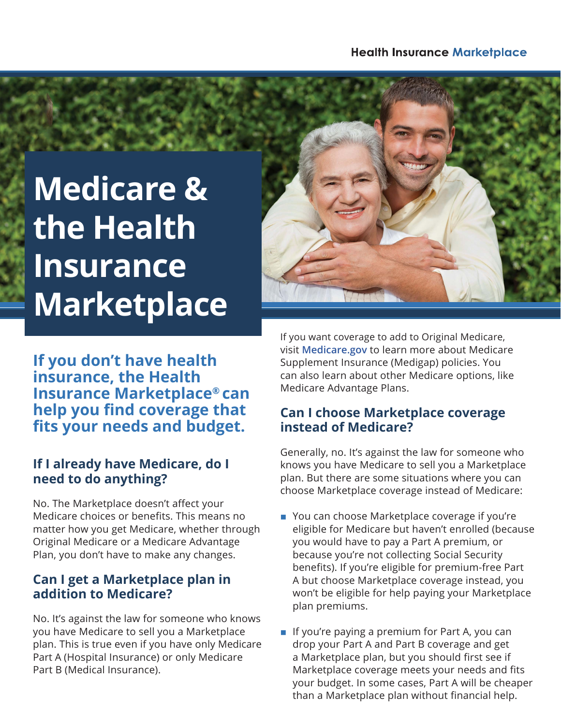# **Medicare & the Health Insurance Marketplace**

**If you don't have health insurance, the Health Insurance Marketplace® can help you find coverage that fits your needs and budget.** 

### **If I already have Medicare, do I need to do anything?**

No. The Marketplace doesn't affect your Medicare choices or benefits. This means no matter how you get Medicare, whether through Original Medicare or a Medicare Advantage Plan, you don't have to make any changes.

#### **Can I get a Marketplace plan in addition to Medicare?**

 Part A (Hospital Insurance) or only Medicare No. It's against the law for someone who knows you have Medicare to sell you a Marketplace plan. This is true even if you have only Medicare Part B (Medical Insurance).



If you want coverage to add to Original Medicare, visit **[Medicare.gov](https://www.Medicare.gov)** to learn more about Medicare Supplement Insurance (Medigap) policies. You can also learn about other Medicare options, like Medicare Advantage Plans.

#### **Can I choose Marketplace coverage instead of Medicare?**

Generally, no. It's against the law for someone who knows you have Medicare to sell you a Marketplace plan. But there are some situations where you can choose Marketplace coverage instead of Medicare:

- You can choose Marketplace coverage if you're eligible for Medicare but haven't enrolled (because you would have to pay a Part A premium, or because you're not collecting Social Security benefits). If you're eligible for premium-free Part A but choose Marketplace coverage instead, you won't be eligible for help paying your Marketplace plan premiums.
- $\blacksquare$  If you're paying a premium for Part A, you can drop your Part A and Part B coverage and get a Marketplace plan, but you should first see if Marketplace coverage meets your needs and fits your budget. In some cases, Part A will be cheaper than a Marketplace plan without financial help.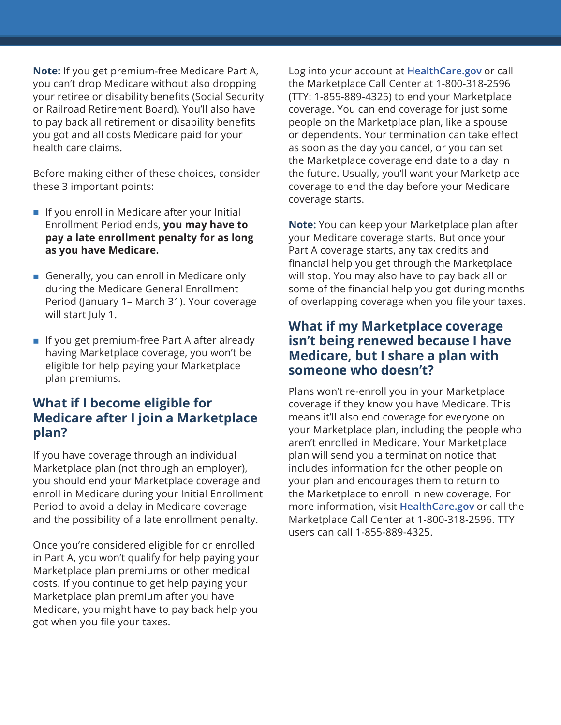**Note:** If you get premium-free Medicare Part A, you can't drop Medicare without also dropping your retiree or disability benefits (Social Security or Railroad Retirement Board). You'll also have to pay back all retirement or disability benefits you got and all costs Medicare paid for your health care claims.

Before making either of these choices, consider these 3 important points:

- $\blacksquare$  If you enroll in Medicare after your Initial Enrollment Period ends, **you may have to pay a late enrollment penalty for as long as you have Medicare.**
- Generally, you can enroll in Medicare only during the Medicare General Enrollment Period (January 1– March 31). Your coverage will start July 1.
- If you get premium-free Part A after already having Marketplace coverage, you won't be eligible for help paying your Marketplace plan premiums.

#### **What if I become eligible for Medicare after I join a Marketplace plan?**

If you have coverage through an individual Marketplace plan (not through an employer), you should end your Marketplace coverage and enroll in Medicare during your Initial Enrollment Period to avoid a delay in Medicare coverage and the possibility of a late enrollment penalty.

Once you're considered eligible for or enrolled in Part A, you won't qualify for help paying your Marketplace plan premiums or other medical costs. If you continue to get help paying your Marketplace plan premium after you have Medicare, you might have to pay back help you got when you file your taxes.

Log into your account at **[HealthCare.gov](https://www.healthcare.gov/)** or call the Marketplace Call Center at 1-800-318-2596 (TTY: 1-855-889-4325) to end your Marketplace coverage. You can end coverage for just some people on the Marketplace plan, like a spouse or dependents. Your termination can take effect as soon as the day you cancel, or you can set the Marketplace coverage end date to a day in the future. Usually, you'll want your Marketplace coverage to end the day before your Medicare coverage starts.

**Note:** You can keep your Marketplace plan after your Medicare coverage starts. But once your Part A coverage starts, any tax credits and financial help you get through the Marketplace will stop. You may also have to pay back all or some of the financial help you got during months of overlapping coverage when you file your taxes.

#### **What if my Marketplace coverage isn't being renewed because I have Medicare, but I share a plan with someone who doesn't?**

Plans won't re-enroll you in your Marketplace coverage if they know you have Medicare. This means it'll also end coverage for everyone on your Marketplace plan, including the people who aren't enrolled in Medicare. Your Marketplace plan will send you a termination notice that includes information for the other people on your plan and encourages them to return to the Marketplace to enroll in new coverage. For more information, visit **[HealthCare.gov](https://www.healthcare.gov/)** or call the Marketplace Call Center at 1-800-318-2596. TTY users can call 1-855-889-4325.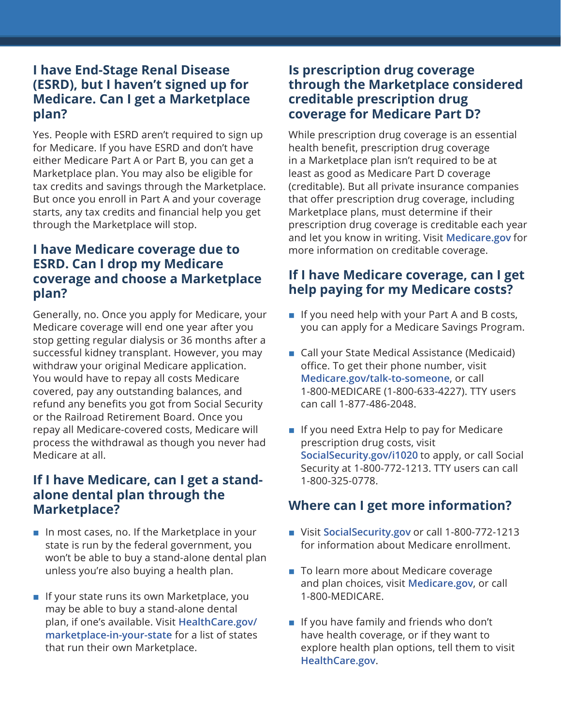#### **I have End-Stage Renal Disease (ESRD), but I haven't signed up for Medicare. Can I get a Marketplace plan?**

Yes. People with ESRD aren't required to sign up for Medicare. If you have ESRD and don't have either Medicare Part A or Part B, you can get a Marketplace plan. You may also be eligible for tax credits and savings through the Marketplace. But once you enroll in Part A and your coverage starts, any tax credits and financial help you get through the Marketplace will stop.

#### **I have Medicare coverage due to ESRD. Can I drop my Medicare coverage and choose a Marketplace plan?**

Generally, no. Once you apply for Medicare, your Medicare coverage will end one year after you stop getting regular dialysis or 36 months after a successful kidney transplant. However, you may withdraw your original Medicare application. You would have to repay all costs Medicare covered, pay any outstanding balances, and refund any benefits you got from Social Security or the Railroad Retirement Board. Once you repay all Medicare-covered costs, Medicare will process the withdrawal as though you never had Medicare at all.

#### **If I have Medicare, can I get a standalone dental plan through the Marketplace?**

- $\blacksquare$  In most cases, no. If the Marketplace in your state is run by the federal government, you won't be able to buy a stand-alone dental plan unless you're also buying a health plan.
- **n** If your state runs its own Marketplace, you may be able to buy a stand-alone dental [plan, if one's available. Visit](https://www.HealthCare.gov/marketplace-in-your-state) **HealthCare.gov/ marketplace-in-your-state** for a list of states that run their own Marketplace.

#### **Is prescription drug coverage through the Marketplace considered creditable prescription drug coverage for Medicare Part D?**

While prescription drug coverage is an essential health benefit, prescription drug coverage in a Marketplace plan isn't required to be at least as good as Medicare Part D coverage (creditable). But all private insurance companies that offer prescription drug coverage, including Marketplace plans, must determine if their prescription drug coverage is creditable each year and let you know in writing. Visit **[Medicare.gov](https://www.medicare.gov/)** for more information on creditable coverage.

## **If I have Medicare coverage, can I get help paying for my Medicare costs?**

- $\blacksquare$  If you need help with your Part A and B costs, you can apply for a Medicare Savings Program.
- Call your State Medical Assistance (Medicaid) office. To get their phone number, visit **[Medicare.gov/talk-to-someone](https://www.medicare.gov/talk-to-someone)**, or call 1-800-MEDICARE (1-800-633-4227). TTY users can call 1-877-486-2048.
- **n** If you need Extra Help to pay for Medicare prescription drug costs, visit **[SocialSecurity.gov/i1020](https://secure.ssa.gov/i1020/start)** to apply, or call Social Security at 1-800-772-1213. TTY users can call 1-800-325-0778.

# **Where can I get more information?**

- Visit [SocialSecurity.gov](https://www.ssa.gov/) or call 1-800-772-1213 for information about Medicare enrollment.
- To learn more about Medicare coverage and plan choices, visit **[Medicare.gov](https://www.Medicare.gov)**, or call 1-800-MEDICARE.
- $\blacksquare$  If you have family and friends who don't have health coverage, or if they want to explore health plan options, tell them to visit **[HealthCare.gov](https://www.healthcare.gov/)**.